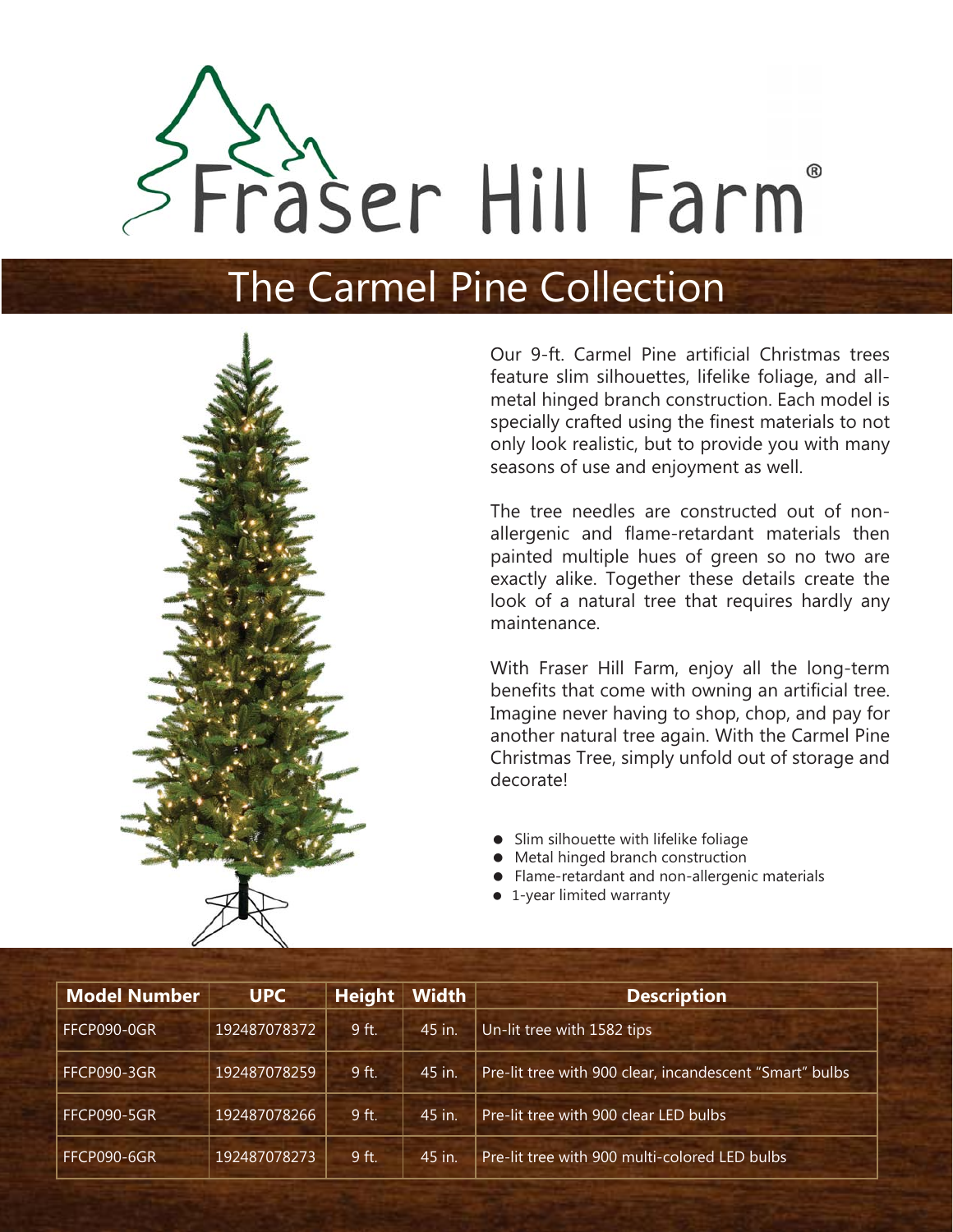# Fraser Hill Farm®

# The Carmel Pine Collection



Our 9-ft. Carmel Pine artificial Christmas trees feature slim silhouettes, lifelike foliage, and allmetal hinged branch construction. Each model is specially crafted using the finest materials to not only look realistic, but to provide you with many seasons of use and enjoyment as well.

The tree needles are constructed out of nonallergenic and flame-retardant materials then painted multiple hues of green so no two are exactly alike. Together these details create the look of a natural tree that requires hardly any maintenance.

With Fraser Hill Farm, enjoy all the long-term benefits that come with owning an artificial tree. Imagine never having to shop, chop, and pay for another natural tree again. With the Carmel Pine Christmas Tree, simply unfold out of storage and decorate!

- Slim silhouette with lifelike foliage
- $\bullet$ Metal hinged branch construction
- Flame-retardant and non-allergenic materials
- 1-year limited warranty

| <b>Model Number</b> | <b>UPC</b>   | <b>Height</b> | <b>Width</b> | <b>Description</b>                                      |
|---------------------|--------------|---------------|--------------|---------------------------------------------------------|
| FFCP090-0GR         | 192487078372 | 9 ft.         | 45 in.       | Un-lit tree with 1582 tips                              |
| FFCP090-3GR         | 192487078259 | 9 ft.         | 45 in.       | Pre-lit tree with 900 clear, incandescent "Smart" bulbs |
| FFCP090-5GR         | 192487078266 | 9 ft.         | 45 in.       | Pre-lit tree with 900 clear LED bulbs                   |
| FFCP090-6GR         | 192487078273 | $9$ ft.       | 45 in.       | Pre-lit tree with 900 multi-colored LED bulbs           |